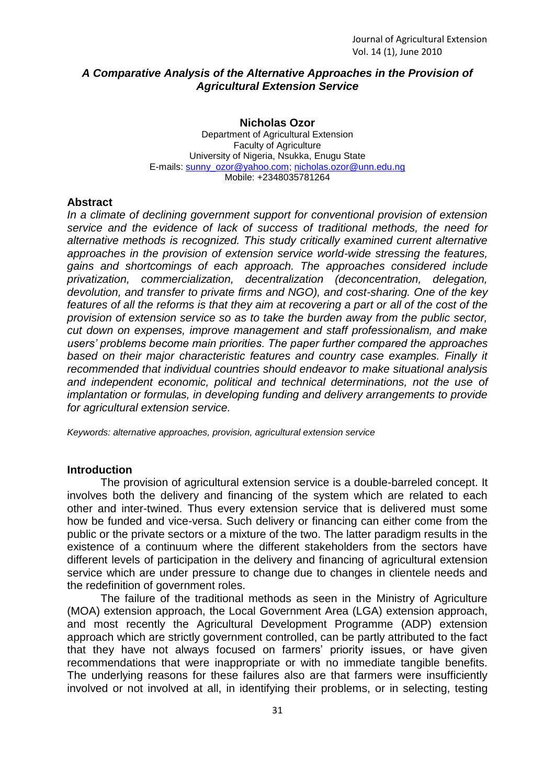## *A Comparative Analysis of the Alternative Approaches in the Provision of Agricultural Extension Service*

**Nicholas Ozor** Department of Agricultural Extension Faculty of Agriculture University of Nigeria, Nsukka, Enugu State E-mails: [sunny\\_ozor@yahoo.com;](mailto:sunny_ozor@yahoo.com) [nicholas.ozor@unn.edu.ng](mailto:nicholas.ozor@unn.edu.ng) Mobile: +2348035781264

## **Abstract**

*In a climate of declining government support for conventional provision of extension service and the evidence of lack of success of traditional methods, the need for alternative methods is recognized. This study critically examined current alternative approaches in the provision of extension service world-wide stressing the features, gains and shortcomings of each approach. The approaches considered include privatization, commercialization, decentralization (deconcentration, delegation, devolution, and transfer to private firms and NGO), and cost-sharing. One of the key features of all the reforms is that they aim at recovering a part or all of the cost of the provision of extension service so as to take the burden away from the public sector, cut down on expenses, improve management and staff professionalism, and make users' problems become main priorities. The paper further compared the approaches*  based on their major characteristic features and country case examples. Finally it *recommended that individual countries should endeavor to make situational analysis and independent economic, political and technical determinations, not the use of implantation or formulas, in developing funding and delivery arrangements to provide for agricultural extension service.*

*Keywords: alternative approaches, provision, agricultural extension service*

#### **Introduction**

The provision of agricultural extension service is a double-barreled concept. It involves both the delivery and financing of the system which are related to each other and inter-twined. Thus every extension service that is delivered must some how be funded and vice-versa. Such delivery or financing can either come from the public or the private sectors or a mixture of the two. The latter paradigm results in the existence of a continuum where the different stakeholders from the sectors have different levels of participation in the delivery and financing of agricultural extension service which are under pressure to change due to changes in clientele needs and the redefinition of government roles.

The failure of the traditional methods as seen in the Ministry of Agriculture (MOA) extension approach, the Local Government Area (LGA) extension approach, and most recently the Agricultural Development Programme (ADP) extension approach which are strictly government controlled, can be partly attributed to the fact that they have not always focused on farmers' priority issues, or have given recommendations that were inappropriate or with no immediate tangible benefits. The underlying reasons for these failures also are that farmers were insufficiently involved or not involved at all, in identifying their problems, or in selecting, testing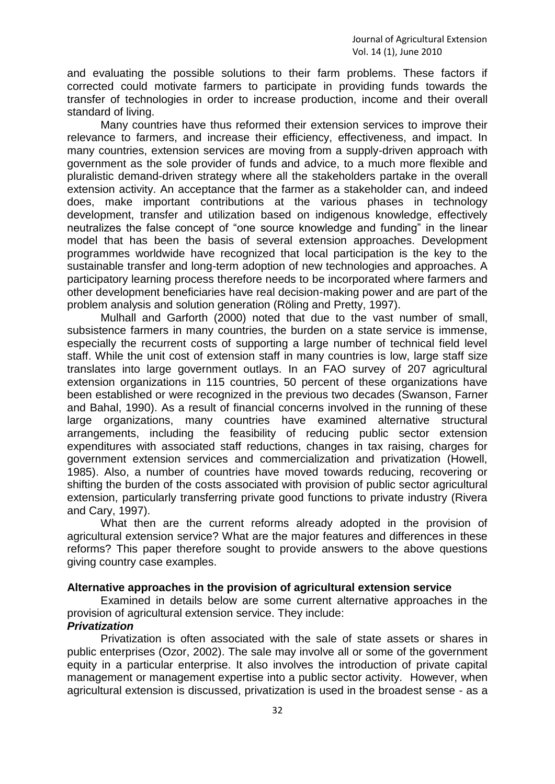and evaluating the possible solutions to their farm problems. These factors if corrected could motivate farmers to participate in providing funds towards the transfer of technologies in order to increase production, income and their overall standard of living.

Many countries have thus reformed their extension services to improve their relevance to farmers, and increase their efficiency, effectiveness, and impact. In many countries, extension services are moving from a supply-driven approach with government as the sole provider of funds and advice, to a much more flexible and pluralistic demand-driven strategy where all the stakeholders partake in the overall extension activity. An acceptance that the farmer as a stakeholder can, and indeed does, make important contributions at the various phases in technology development, transfer and utilization based on indigenous knowledge, effectively neutralizes the false concept of "one source knowledge and funding" in the linear model that has been the basis of several extension approaches. Development programmes worldwide have recognized that local participation is the key to the sustainable transfer and long-term adoption of new technologies and approaches. A participatory learning process therefore needs to be incorporated where farmers and other development beneficiaries have real decision-making power and are part of the problem analysis and solution generation (Röling and Pretty, 1997).

Mulhall and Garforth (2000) noted that due to the vast number of small, subsistence farmers in many countries, the burden on a state service is immense, especially the recurrent costs of supporting a large number of technical field level staff. While the unit cost of extension staff in many countries is low, large staff size translates into large government outlays. In an FAO survey of 207 agricultural extension organizations in 115 countries, 50 percent of these organizations have been established or were recognized in the previous two decades (Swanson, Farner and Bahal, 1990). As a result of financial concerns involved in the running of these large organizations, many countries have examined alternative structural arrangements, including the feasibility of reducing public sector extension expenditures with associated staff reductions, changes in tax raising, charges for government extension services and commercialization and privatization (Howell, 1985). Also, a number of countries have moved towards reducing, recovering or shifting the burden of the costs associated with provision of public sector agricultural extension, particularly transferring private good functions to private industry (Rivera and Cary, 1997).

What then are the current reforms already adopted in the provision of agricultural extension service? What are the major features and differences in these reforms? This paper therefore sought to provide answers to the above questions giving country case examples.

## **Alternative approaches in the provision of agricultural extension service**

Examined in details below are some current alternative approaches in the provision of agricultural extension service. They include:

## *Privatization*

Privatization is often associated with the sale of state assets or shares in public enterprises (Ozor, 2002). The sale may involve all or some of the government equity in a particular enterprise. It also involves the introduction of private capital management or management expertise into a public sector activity. However, when agricultural extension is discussed, privatization is used in the broadest sense - as a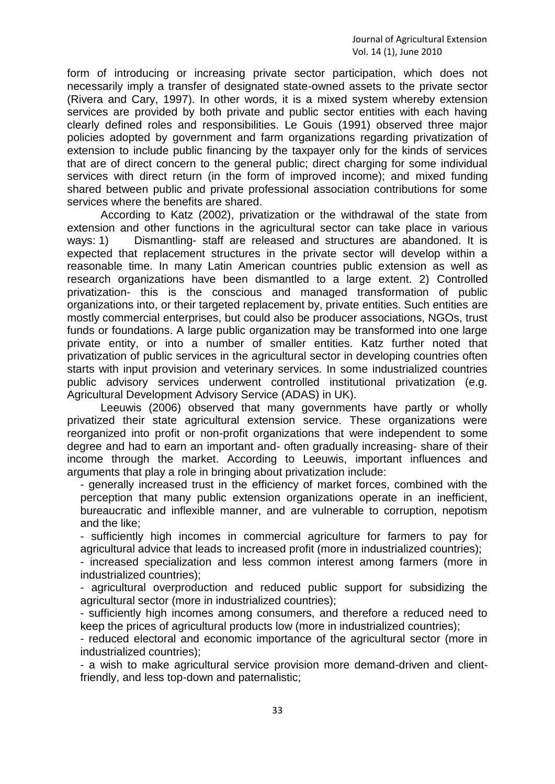form of introducing or increasing private sector participation, which does not necessarily imply a transfer of designated state-owned assets to the private sector (Rivera and Cary, 1997). In other words, it is a mixed system whereby extension services are provided by both private and public sector entities with each having clearly defined roles and responsibilities. Le Gouis (1991) observed three major policies adopted by government and farm organizations regarding privatization of extension to include public financing by the taxpayer only for the kinds of services that are of direct concern to the general public; direct charging for some individual services with direct return (in the form of improved income); and mixed funding shared between public and private professional association contributions for some services where the benefits are shared.

According to Katz (2002), privatization or the withdrawal of the state from extension and other functions in the agricultural sector can take place in various ways: 1) Dismantling- staff are released and structures are abandoned. It is expected that replacement structures in the private sector will develop within a reasonable time. In many Latin American countries public extension as well as research organizations have been dismantled to a large extent. 2) Controlled privatization- this is the conscious and managed transformation of public organizations into, or their targeted replacement by, private entities. Such entities are mostly commercial enterprises, but could also be producer associations, NGOs, trust funds or foundations. A large public organization may be transformed into one large private entity, or into a number of smaller entities. Katz further noted that privatization of public services in the agricultural sector in developing countries often starts with input provision and veterinary services. In some industrialized countries public advisory services underwent controlled institutional privatization (e.g. Agricultural Development Advisory Service (ADAS) in UK).

Leeuwis (2006) observed that many governments have partly or wholly privatized their state agricultural extension service. These organizations were reorganized into profit or non-profit organizations that were independent to some degree and had to earn an important and- often gradually increasing- share of their income through the market. According to Leeuwis, important influences and arguments that play a role in bringing about privatization include:

- generally increased trust in the efficiency of market forces, combined with the perception that many public extension organizations operate in an inefficient, bureaucratic and inflexible manner, and are vulnerable to corruption, nepotism and the like;

- sufficiently high incomes in commercial agriculture for farmers to pay for agricultural advice that leads to increased profit (more in industrialized countries);

- increased specialization and less common interest among farmers (more in industrialized countries);

- agricultural overproduction and reduced public support for subsidizing the agricultural sector (more in industrialized countries);

- sufficiently high incomes among consumers, and therefore a reduced need to keep the prices of agricultural products low (more in industrialized countries);

- reduced electoral and economic importance of the agricultural sector (more in industrialized countries);

- a wish to make agricultural service provision more demand-driven and clientfriendly, and less top-down and paternalistic;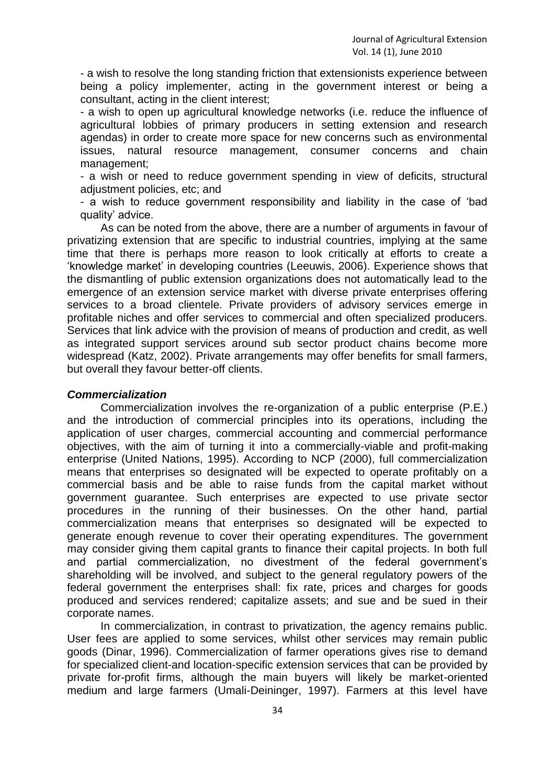- a wish to resolve the long standing friction that extensionists experience between being a policy implementer, acting in the government interest or being a consultant, acting in the client interest;

- a wish to open up agricultural knowledge networks (i.e. reduce the influence of agricultural lobbies of primary producers in setting extension and research agendas) in order to create more space for new concerns such as environmental issues, natural resource management, consumer concerns and chain management;

- a wish or need to reduce government spending in view of deficits, structural adjustment policies, etc; and

- a wish to reduce government responsibility and liability in the case of 'bad quality' advice.

As can be noted from the above, there are a number of arguments in favour of privatizing extension that are specific to industrial countries, implying at the same time that there is perhaps more reason to look critically at efforts to create a ‗knowledge market' in developing countries (Leeuwis, 2006). Experience shows that the dismantling of public extension organizations does not automatically lead to the emergence of an extension service market with diverse private enterprises offering services to a broad clientele. Private providers of advisory services emerge in profitable niches and offer services to commercial and often specialized producers. Services that link advice with the provision of means of production and credit, as well as integrated support services around sub sector product chains become more widespread (Katz, 2002). Private arrangements may offer benefits for small farmers, but overall they favour better-off clients.

#### *Commercialization*

Commercialization involves the re-organization of a public enterprise (P.E.) and the introduction of commercial principles into its operations, including the application of user charges, commercial accounting and commercial performance objectives, with the aim of turning it into a commercially-viable and profit-making enterprise (United Nations, 1995). According to NCP (2000), full commercialization means that enterprises so designated will be expected to operate profitably on a commercial basis and be able to raise funds from the capital market without government guarantee. Such enterprises are expected to use private sector procedures in the running of their businesses. On the other hand, partial commercialization means that enterprises so designated will be expected to generate enough revenue to cover their operating expenditures. The government may consider giving them capital grants to finance their capital projects. In both full and partial commercialization, no divestment of the federal government's shareholding will be involved, and subject to the general regulatory powers of the federal government the enterprises shall: fix rate, prices and charges for goods produced and services rendered; capitalize assets; and sue and be sued in their corporate names.

In commercialization, in contrast to privatization, the agency remains public. User fees are applied to some services, whilst other services may remain public goods (Dinar, 1996). Commercialization of farmer operations gives rise to demand for specialized client-and location-specific extension services that can be provided by private for-profit firms, although the main buyers will likely be market-oriented medium and large farmers (Umali-Deininger, 1997). Farmers at this level have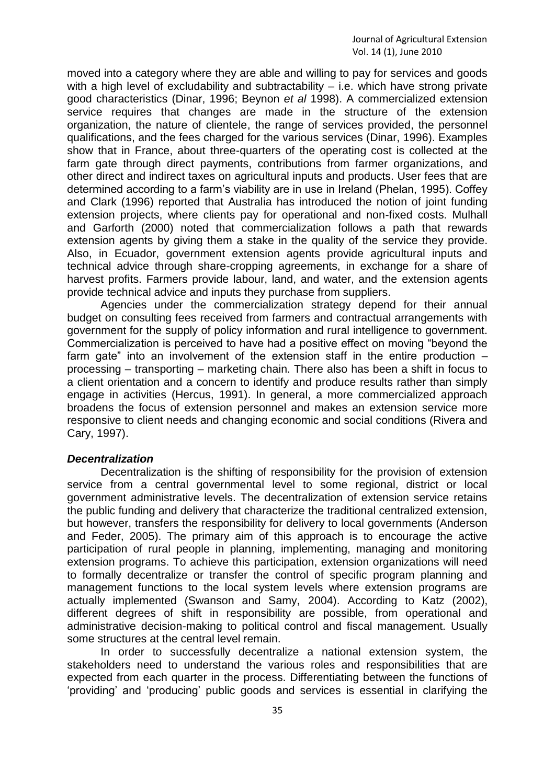moved into a category where they are able and willing to pay for services and goods with a high level of excludability and subtractability – i.e. which have strong private good characteristics (Dinar, 1996; Beynon *et al* 1998). A commercialized extension service requires that changes are made in the structure of the extension organization, the nature of clientele, the range of services provided, the personnel qualifications, and the fees charged for the various services (Dinar, 1996). Examples show that in France, about three-quarters of the operating cost is collected at the farm gate through direct payments, contributions from farmer organizations, and other direct and indirect taxes on agricultural inputs and products. User fees that are determined according to a farm's viability are in use in Ireland (Phelan, 1995). Coffey and Clark (1996) reported that Australia has introduced the notion of joint funding extension projects, where clients pay for operational and non-fixed costs. Mulhall and Garforth (2000) noted that commercialization follows a path that rewards extension agents by giving them a stake in the quality of the service they provide. Also, in Ecuador, government extension agents provide agricultural inputs and technical advice through share-cropping agreements, in exchange for a share of harvest profits. Farmers provide labour, land, and water, and the extension agents provide technical advice and inputs they purchase from suppliers.

Agencies under the commercialization strategy depend for their annual budget on consulting fees received from farmers and contractual arrangements with government for the supply of policy information and rural intelligence to government. Commercialization is perceived to have had a positive effect on moving "beyond the farm gate" into an involvement of the extension staff in the entire production  $$ processing – transporting – marketing chain. There also has been a shift in focus to a client orientation and a concern to identify and produce results rather than simply engage in activities (Hercus, 1991). In general, a more commercialized approach broadens the focus of extension personnel and makes an extension service more responsive to client needs and changing economic and social conditions (Rivera and Cary, 1997).

## *Decentralization*

Decentralization is the shifting of responsibility for the provision of extension service from a central governmental level to some regional, district or local government administrative levels. The decentralization of extension service retains the public funding and delivery that characterize the traditional centralized extension, but however, transfers the responsibility for delivery to local governments (Anderson and Feder, 2005). The primary aim of this approach is to encourage the active participation of rural people in planning, implementing, managing and monitoring extension programs. To achieve this participation, extension organizations will need to formally decentralize or transfer the control of specific program planning and management functions to the local system levels where extension programs are actually implemented (Swanson and Samy, 2004). According to Katz (2002), different degrees of shift in responsibility are possible, from operational and administrative decision-making to political control and fiscal management. Usually some structures at the central level remain.

In order to successfully decentralize a national extension system, the stakeholders need to understand the various roles and responsibilities that are expected from each quarter in the process. Differentiating between the functions of ‗providing' and ‗producing' public goods and services is essential in clarifying the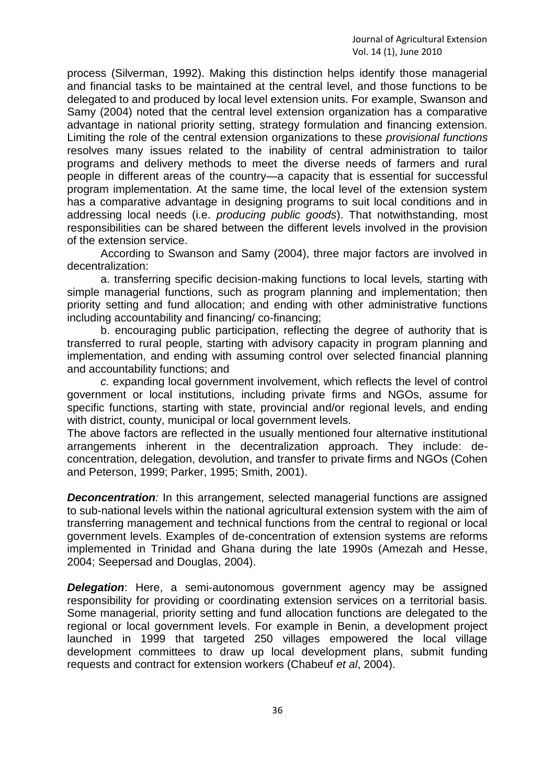process (Silverman, 1992). Making this distinction helps identify those managerial and financial tasks to be maintained at the central level, and those functions to be delegated to and produced by local level extension units. For example, Swanson and Samy (2004) noted that the central level extension organization has a comparative advantage in national priority setting, strategy formulation and financing extension. Limiting the role of the central extension organizations to these *provisional functions*  resolves many issues related to the inability of central administration to tailor programs and delivery methods to meet the diverse needs of farmers and rural people in different areas of the country—a capacity that is essential for successful program implementation. At the same time, the local level of the extension system has a comparative advantage in designing programs to suit local conditions and in addressing local needs (i.e. *producing public goods*). That notwithstanding, most responsibilities can be shared between the different levels involved in the provision of the extension service.

According to Swanson and Samy (2004), three major factors are involved in decentralization:

a. transferring specific decision-making functions to local levels*,* starting with simple managerial functions, such as program planning and implementation; then priority setting and fund allocation; and ending with other administrative functions including accountability and financing/ co-financing;

b. encouraging public participation, reflecting the degree of authority that is transferred to rural people, starting with advisory capacity in program planning and implementation, and ending with assuming control over selected financial planning and accountability functions; and

*c.* expanding local government involvement, which reflects the level of control government or local institutions, including private firms and NGOs, assume for specific functions, starting with state, provincial and/or regional levels, and ending with district, county, municipal or local government levels.

The above factors are reflected in the usually mentioned four alternative institutional arrangements inherent in the decentralization approach. They include: deconcentration, delegation, devolution, and transfer to private firms and NGOs (Cohen and Peterson, 1999; Parker, 1995; Smith, 2001).

**Deconcentration**: In this arrangement, selected managerial functions are assigned to sub-national levels within the national agricultural extension system with the aim of transferring management and technical functions from the central to regional or local government levels. Examples of de-concentration of extension systems are reforms implemented in Trinidad and Ghana during the late 1990s (Amezah and Hesse, 2004; Seepersad and Douglas, 2004).

**Delegation**: Here, a semi-autonomous government agency may be assigned responsibility for providing or coordinating extension services on a territorial basis. Some managerial, priority setting and fund allocation functions are delegated to the regional or local government levels. For example in Benin, a development project launched in 1999 that targeted 250 villages empowered the local village development committees to draw up local development plans, submit funding requests and contract for extension workers (Chabeuf *et al*, 2004).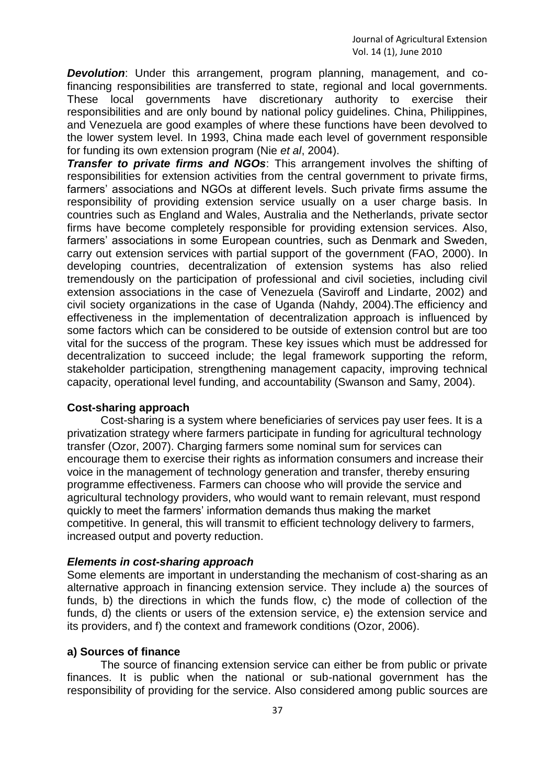*Devolution*: Under this arrangement, program planning, management, and cofinancing responsibilities are transferred to state, regional and local governments. These local governments have discretionary authority to exercise their responsibilities and are only bound by national policy guidelines. China, Philippines, and Venezuela are good examples of where these functions have been devolved to the lower system level. In 1993, China made each level of government responsible for funding its own extension program (Nie *et al*, 2004).

*Transfer to private firms and NGOs*: This arrangement involves the shifting of responsibilities for extension activities from the central government to private firms, farmers' associations and NGOs at different levels. Such private firms assume the responsibility of providing extension service usually on a user charge basis. In countries such as England and Wales, Australia and the Netherlands, private sector firms have become completely responsible for providing extension services. Also, farmers' associations in some European countries, such as Denmark and Sweden, carry out extension services with partial support of the government (FAO, 2000). In developing countries, decentralization of extension systems has also relied tremendously on the participation of professional and civil societies, including civil extension associations in the case of Venezuela (Saviroff and Lindarte, 2002) and civil society organizations in the case of Uganda (Nahdy, 2004).The efficiency and effectiveness in the implementation of decentralization approach is influenced by some factors which can be considered to be outside of extension control but are too vital for the success of the program. These key issues which must be addressed for decentralization to succeed include; the legal framework supporting the reform, stakeholder participation, strengthening management capacity, improving technical capacity, operational level funding, and accountability (Swanson and Samy, 2004).

# **Cost-sharing approach**

Cost-sharing is a system where beneficiaries of services pay user fees. It is a privatization strategy where farmers participate in funding for agricultural technology transfer (Ozor, 2007). Charging farmers some nominal sum for services can encourage them to exercise their rights as information consumers and increase their voice in the management of technology generation and transfer, thereby ensuring programme effectiveness. Farmers can choose who will provide the service and agricultural technology providers, who would want to remain relevant, must respond quickly to meet the farmers' information demands thus making the market competitive. In general, this will transmit to efficient technology delivery to farmers, increased output and poverty reduction.

# *Elements in cost-sharing approach*

Some elements are important in understanding the mechanism of cost-sharing as an alternative approach in financing extension service. They include a) the sources of funds, b) the directions in which the funds flow, c) the mode of collection of the funds, d) the clients or users of the extension service, e) the extension service and its providers, and f) the context and framework conditions (Ozor, 2006).

# **a) Sources of finance**

The source of financing extension service can either be from public or private finances. It is public when the national or sub-national government has the responsibility of providing for the service. Also considered among public sources are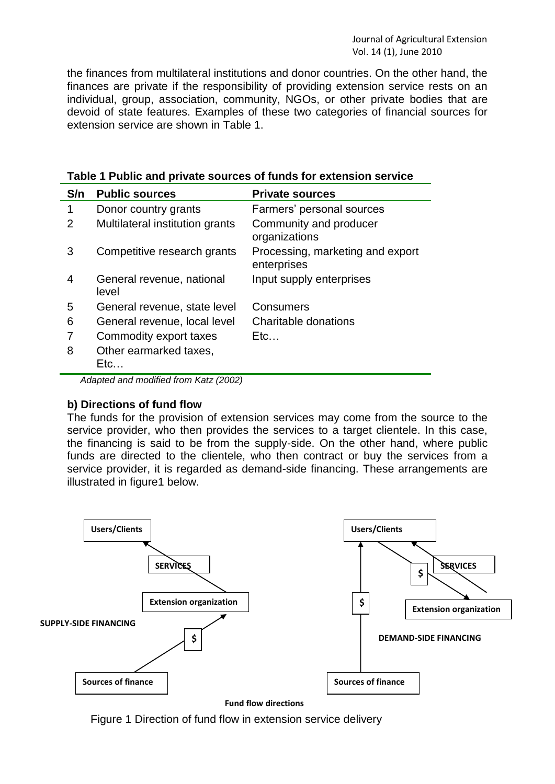the finances from multilateral institutions and donor countries. On the other hand, the finances are private if the responsibility of providing extension service rests on an individual, group, association, community, NGOs, or other private bodies that are devoid of state features. Examples of these two categories of financial sources for extension service are shown in Table 1.

| S/n                                            | <b>Public sources</b>              | <b>Private sources</b>                          |  |  |
|------------------------------------------------|------------------------------------|-------------------------------------------------|--|--|
| 1                                              | Donor country grants               | Farmers' personal sources                       |  |  |
| $\mathcal{P}$                                  | Multilateral institution grants    | Community and producer<br>organizations         |  |  |
| 3                                              | Competitive research grants        | Processing, marketing and export<br>enterprises |  |  |
| 4                                              | General revenue, national<br>level | Input supply enterprises                        |  |  |
| 5                                              | General revenue, state level       | Consumers                                       |  |  |
| 6                                              | General revenue, local level       | Charitable donations                            |  |  |
| 7                                              | Commodity export taxes             | Etc                                             |  |  |
| 8                                              | Other earmarked taxes,             |                                                 |  |  |
|                                                | Etc                                |                                                 |  |  |
| $\Lambda$ dontod and modified from Kotz (2002) |                                    |                                                 |  |  |

**Table 1 Public and private sources of funds for extension service**

*Adapted and modified from Katz (2002)*

# **b) Directions of fund flow**

The funds for the provision of extension services may come from the source to the service provider, who then provides the services to a target clientele. In this case, the financing is said to be from the supply-side. On the other hand, where public funds are directed to the clientele, who then contract or buy the services from a service provider, it is regarded as demand-side financing. These arrangements are illustrated in figure1 below.



**Fund flow directions**

 $\ddot{\phantom{0}}$ Figure 1 Direction of fund flow in extension service delivery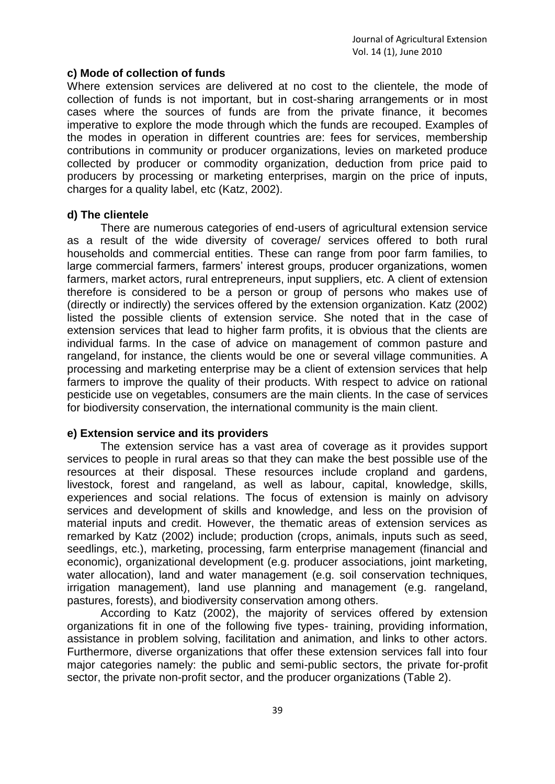## **c) Mode of collection of funds**

Where extension services are delivered at no cost to the clientele, the mode of collection of funds is not important, but in cost-sharing arrangements or in most cases where the sources of funds are from the private finance, it becomes imperative to explore the mode through which the funds are recouped. Examples of the modes in operation in different countries are: fees for services, membership contributions in community or producer organizations, levies on marketed produce collected by producer or commodity organization, deduction from price paid to producers by processing or marketing enterprises, margin on the price of inputs, charges for a quality label, etc (Katz, 2002).

## **d) The clientele**

There are numerous categories of end-users of agricultural extension service as a result of the wide diversity of coverage/ services offered to both rural households and commercial entities. These can range from poor farm families, to large commercial farmers, farmers' interest groups, producer organizations, women farmers, market actors, rural entrepreneurs, input suppliers, etc. A client of extension therefore is considered to be a person or group of persons who makes use of (directly or indirectly) the services offered by the extension organization. Katz (2002) listed the possible clients of extension service. She noted that in the case of extension services that lead to higher farm profits, it is obvious that the clients are individual farms. In the case of advice on management of common pasture and rangeland, for instance, the clients would be one or several village communities. A processing and marketing enterprise may be a client of extension services that help farmers to improve the quality of their products. With respect to advice on rational pesticide use on vegetables, consumers are the main clients. In the case of services for biodiversity conservation, the international community is the main client.

## **e) Extension service and its providers**

The extension service has a vast area of coverage as it provides support services to people in rural areas so that they can make the best possible use of the resources at their disposal. These resources include cropland and gardens, livestock, forest and rangeland, as well as labour, capital, knowledge, skills, experiences and social relations. The focus of extension is mainly on advisory services and development of skills and knowledge, and less on the provision of material inputs and credit. However, the thematic areas of extension services as remarked by Katz (2002) include; production (crops, animals, inputs such as seed, seedlings, etc.), marketing, processing, farm enterprise management (financial and economic), organizational development (e.g. producer associations, joint marketing, water allocation), land and water management (e.g. soil conservation techniques, irrigation management), land use planning and management (e.g. rangeland, pastures, forests), and biodiversity conservation among others.

According to Katz (2002), the majority of services offered by extension organizations fit in one of the following five types- training, providing information, assistance in problem solving, facilitation and animation, and links to other actors. Furthermore, diverse organizations that offer these extension services fall into four major categories namely: the public and semi-public sectors, the private for-profit sector, the private non-profit sector, and the producer organizations (Table 2).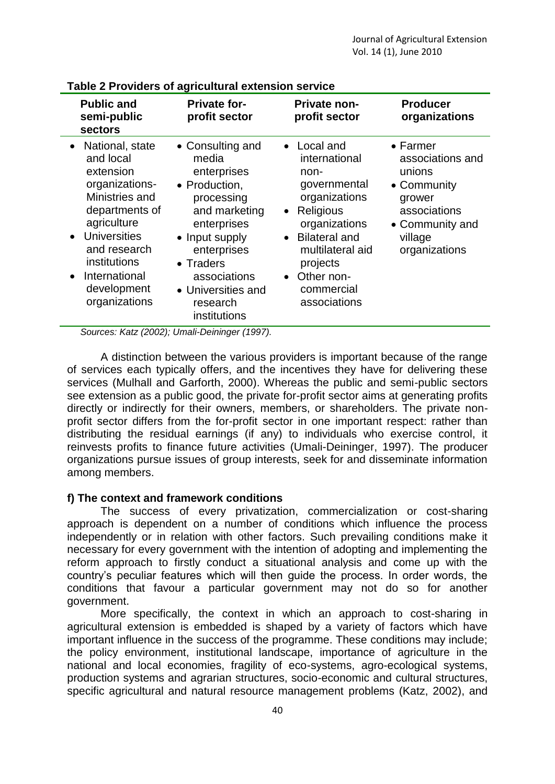| <b>Public and</b><br>semi-public<br>sectors                                                                                                                                                                                                 | <b>Private for-</b><br>profit sector                                                                                                                                                                                    | <b>Private non-</b><br>profit sector                                                                                                                                                                 | <b>Producer</b><br>organizations                                                                                                       |
|---------------------------------------------------------------------------------------------------------------------------------------------------------------------------------------------------------------------------------------------|-------------------------------------------------------------------------------------------------------------------------------------------------------------------------------------------------------------------------|------------------------------------------------------------------------------------------------------------------------------------------------------------------------------------------------------|----------------------------------------------------------------------------------------------------------------------------------------|
| National, state<br>$\bullet$<br>and local<br>extension<br>organizations-<br>Ministries and<br>departments of<br>agriculture<br>• Universities<br>and research<br>institutions<br>International<br>$\bullet$<br>development<br>organizations | • Consulting and<br>media<br>enterprises<br>• Production,<br>processing<br>and marketing<br>enterprises<br>• Input supply<br>enterprises<br>• Traders<br>associations<br>• Universities and<br>research<br>institutions | • Local and<br>international<br>non-<br>governmental<br>organizations<br>• Religious<br>organizations<br>• Bilateral and<br>multilateral aid<br>projects<br>Other non-<br>commercial<br>associations | $\bullet$ Farmer<br>associations and<br>unions<br>• Community<br>grower<br>associations<br>• Community and<br>village<br>organizations |

#### **Table 2 Providers of agricultural extension service**

*Sources: Katz (2002); Umali-Deininger (1997).*

A distinction between the various providers is important because of the range of services each typically offers, and the incentives they have for delivering these services (Mulhall and Garforth, 2000). Whereas the public and semi-public sectors see extension as a public good, the private for-profit sector aims at generating profits directly or indirectly for their owners, members, or shareholders. The private nonprofit sector differs from the for-profit sector in one important respect: rather than distributing the residual earnings (if any) to individuals who exercise control, it reinvests profits to finance future activities (Umali-Deininger, 1997). The producer organizations pursue issues of group interests, seek for and disseminate information among members.

## **f) The context and framework conditions**

The success of every privatization, commercialization or cost-sharing approach is dependent on a number of conditions which influence the process independently or in relation with other factors. Such prevailing conditions make it necessary for every government with the intention of adopting and implementing the reform approach to firstly conduct a situational analysis and come up with the country's peculiar features which will then guide the process. In order words, the conditions that favour a particular government may not do so for another government.

More specifically, the context in which an approach to cost-sharing in agricultural extension is embedded is shaped by a variety of factors which have important influence in the success of the programme. These conditions may include; the policy environment, institutional landscape, importance of agriculture in the national and local economies, fragility of eco-systems, agro-ecological systems, production systems and agrarian structures, socio-economic and cultural structures, specific agricultural and natural resource management problems (Katz, 2002), and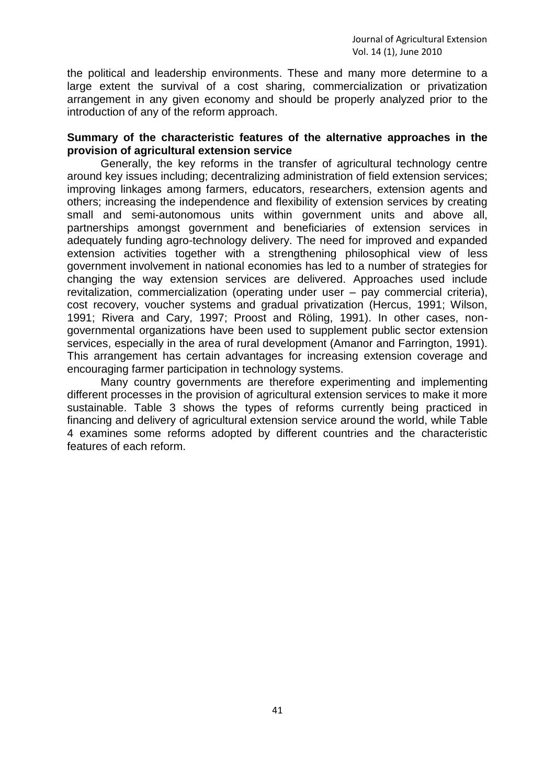the political and leadership environments. These and many more determine to a large extent the survival of a cost sharing, commercialization or privatization arrangement in any given economy and should be properly analyzed prior to the introduction of any of the reform approach.

## **Summary of the characteristic features of the alternative approaches in the provision of agricultural extension service**

Generally, the key reforms in the transfer of agricultural technology centre around key issues including; decentralizing administration of field extension services; improving linkages among farmers, educators, researchers, extension agents and others; increasing the independence and flexibility of extension services by creating small and semi-autonomous units within government units and above all, partnerships amongst government and beneficiaries of extension services in adequately funding agro-technology delivery. The need for improved and expanded extension activities together with a strengthening philosophical view of less government involvement in national economies has led to a number of strategies for changing the way extension services are delivered. Approaches used include revitalization, commercialization (operating under user – pay commercial criteria), cost recovery, voucher systems and gradual privatization (Hercus, 1991; Wilson, 1991; Rivera and Cary, 1997; Proost and Röling, 1991). In other cases, nongovernmental organizations have been used to supplement public sector extension services, especially in the area of rural development (Amanor and Farrington, 1991). This arrangement has certain advantages for increasing extension coverage and encouraging farmer participation in technology systems.

Many country governments are therefore experimenting and implementing different processes in the provision of agricultural extension services to make it more sustainable. Table 3 shows the types of reforms currently being practiced in financing and delivery of agricultural extension service around the world, while Table 4 examines some reforms adopted by different countries and the characteristic features of each reform.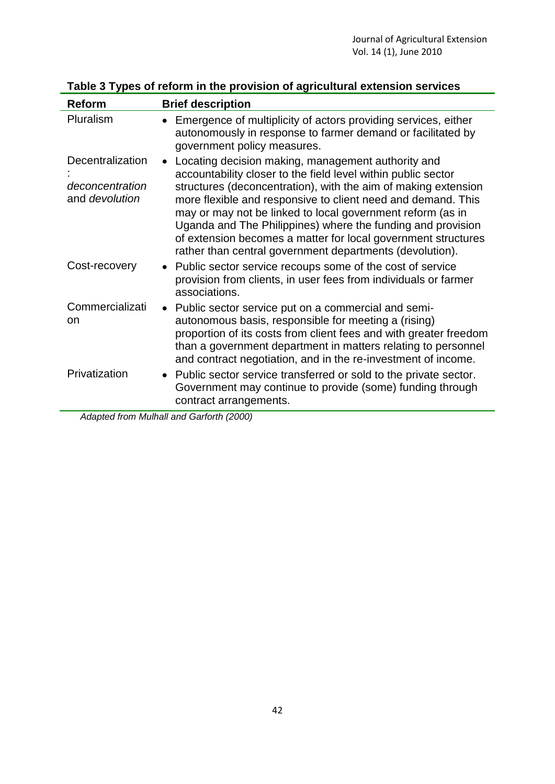| <b>Reform</b>                                         | <b>Brief description</b>                                                                                                                                                                                                                                                                                                                                                                                                                                                                                                     |  |  |
|-------------------------------------------------------|------------------------------------------------------------------------------------------------------------------------------------------------------------------------------------------------------------------------------------------------------------------------------------------------------------------------------------------------------------------------------------------------------------------------------------------------------------------------------------------------------------------------------|--|--|
| Pluralism                                             | Emergence of multiplicity of actors providing services, either<br>$\bullet$<br>autonomously in response to farmer demand or facilitated by<br>government policy measures.                                                                                                                                                                                                                                                                                                                                                    |  |  |
| Decentralization<br>deconcentration<br>and devolution | Locating decision making, management authority and<br>$\bullet$<br>accountability closer to the field level within public sector<br>structures (deconcentration), with the aim of making extension<br>more flexible and responsive to client need and demand. This<br>may or may not be linked to local government reform (as in<br>Uganda and The Philippines) where the funding and provision<br>of extension becomes a matter for local government structures<br>rather than central government departments (devolution). |  |  |
| Cost-recovery                                         | Public sector service recoups some of the cost of service<br>$\bullet$<br>provision from clients, in user fees from individuals or farmer<br>associations.                                                                                                                                                                                                                                                                                                                                                                   |  |  |
| Commercializati<br>on                                 | • Public sector service put on a commercial and semi-<br>autonomous basis, responsible for meeting a (rising)<br>proportion of its costs from client fees and with greater freedom<br>than a government department in matters relating to personnel<br>and contract negotiation, and in the re-investment of income.                                                                                                                                                                                                         |  |  |
| Privatization                                         | • Public sector service transferred or sold to the private sector.<br>Government may continue to provide (some) funding through<br>contract arrangements.                                                                                                                                                                                                                                                                                                                                                                    |  |  |

# **Table 3 Types of reform in the provision of agricultural extension services**

*Adapted from Mulhall and Garforth (2000)*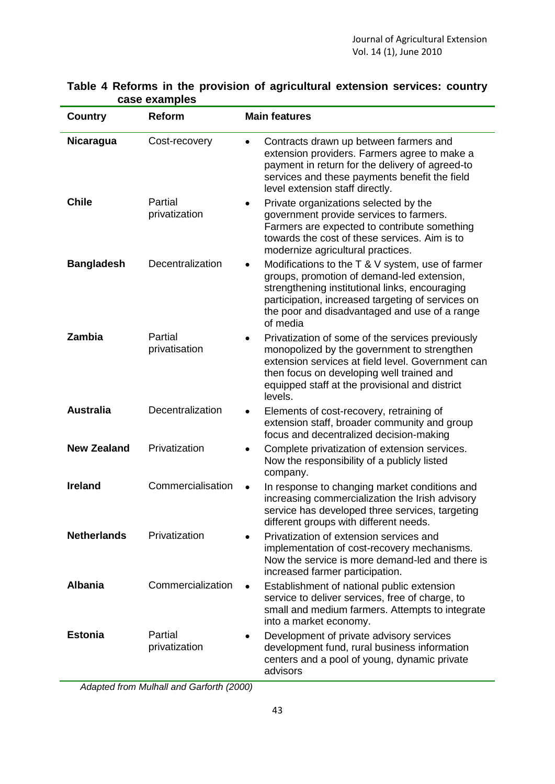| <b>Country</b>     | uasu unanipius<br><b>Reform</b> | <b>Main features</b>                                                                                                                                                                                                                                                            |
|--------------------|---------------------------------|---------------------------------------------------------------------------------------------------------------------------------------------------------------------------------------------------------------------------------------------------------------------------------|
| <b>Nicaragua</b>   | Cost-recovery                   | Contracts drawn up between farmers and<br>$\bullet$<br>extension providers. Farmers agree to make a<br>payment in return for the delivery of agreed-to<br>services and these payments benefit the field<br>level extension staff directly.                                      |
| <b>Chile</b>       | Partial<br>privatization        | Private organizations selected by the<br>government provide services to farmers.<br>Farmers are expected to contribute something<br>towards the cost of these services. Aim is to<br>modernize agricultural practices.                                                          |
| <b>Bangladesh</b>  | Decentralization                | Modifications to the T & V system, use of farmer<br>$\bullet$<br>groups, promotion of demand-led extension,<br>strengthening institutional links, encouraging<br>participation, increased targeting of services on<br>the poor and disadvantaged and use of a range<br>of media |
| Zambia             | Partial<br>privatisation        | Privatization of some of the services previously<br>٠<br>monopolized by the government to strengthen<br>extension services at field level. Government can<br>then focus on developing well trained and<br>equipped staff at the provisional and district<br>levels.             |
| <b>Australia</b>   | Decentralization                | Elements of cost-recovery, retraining of<br>٠<br>extension staff, broader community and group<br>focus and decentralized decision-making                                                                                                                                        |
| <b>New Zealand</b> | Privatization                   | Complete privatization of extension services.<br>Now the responsibility of a publicly listed<br>company.                                                                                                                                                                        |
| <b>Ireland</b>     | Commercialisation               | In response to changing market conditions and<br>$\bullet$<br>increasing commercialization the Irish advisory<br>service has developed three services, targeting<br>different groups with different needs.                                                                      |
| <b>Netherlands</b> | Privatization                   | Privatization of extension services and<br>implementation of cost-recovery mechanisms.<br>Now the service is more demand-led and there is<br>increased farmer participation.                                                                                                    |
| <b>Albania</b>     | Commercialization               | Establishment of national public extension<br>$\bullet$<br>service to deliver services, free of charge, to<br>small and medium farmers. Attempts to integrate<br>into a market economy.                                                                                         |
| <b>Estonia</b>     | Partial<br>privatization        | Development of private advisory services<br>development fund, rural business information<br>centers and a pool of young, dynamic private<br>advisors                                                                                                                            |

# **Table 4 Reforms in the provision of agricultural extension services: country case examples**

*Adapted from Mulhall and Garforth (2000)*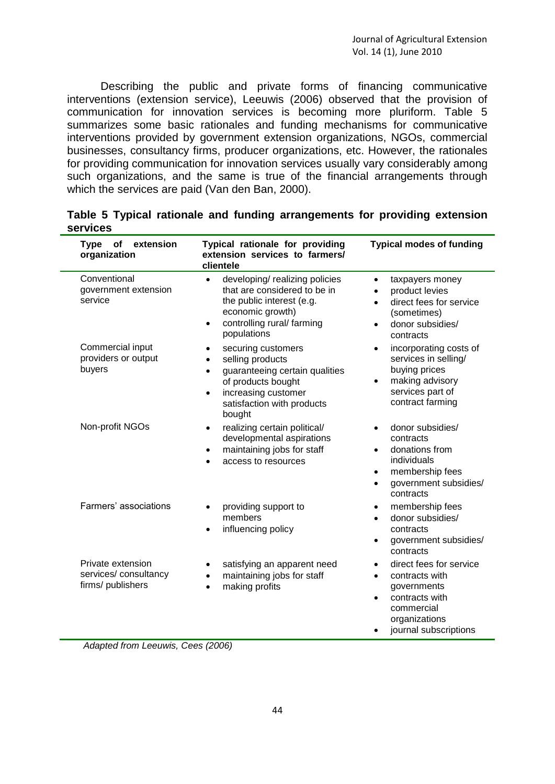Describing the public and private forms of financing communicative interventions (extension service), Leeuwis (2006) observed that the provision of communication for innovation services is becoming more pluriform. Table 5 summarizes some basic rationales and funding mechanisms for communicative interventions provided by government extension organizations, NGOs, commercial businesses, consultancy firms, producer organizations, etc. However, the rationales for providing communication for innovation services usually vary considerably among such organizations, and the same is true of the financial arrangements through which the services are paid (Van den Ban, 2000).

| extension<br><b>Type</b><br>of<br>organization                  | Typical rationale for providing<br>extension services to farmers/<br>clientele                                                                                                          | <b>Typical modes of funding</b>                                                                                                                                  |
|-----------------------------------------------------------------|-----------------------------------------------------------------------------------------------------------------------------------------------------------------------------------------|------------------------------------------------------------------------------------------------------------------------------------------------------------------|
| Conventional<br>government extension<br>service                 | developing/realizing policies<br>$\bullet$<br>that are considered to be in<br>the public interest (e.g.<br>economic growth)<br>controlling rural/ farming<br>$\bullet$<br>populations   | taxpayers money<br>$\bullet$<br>product levies<br>$\bullet$<br>direct fees for service<br>$\bullet$<br>(sometimes)<br>donor subsidies/<br>$\bullet$<br>contracts |
| Commercial input<br>providers or output<br>buyers               | securing customers<br>selling products<br>guaranteeing certain qualities<br>$\bullet$<br>of products bought<br>increasing customer<br>$\bullet$<br>satisfaction with products<br>bought | incorporating costs of<br>$\bullet$<br>services in selling/<br>buying prices<br>making advisory<br>services part of<br>contract farming                          |
| Non-profit NGOs                                                 | realizing certain political/<br>$\bullet$<br>developmental aspirations<br>maintaining jobs for staff<br>$\bullet$<br>access to resources                                                | donor subsidies/<br>contracts<br>donations from<br>individuals<br>membership fees<br>$\bullet$<br>government subsidies/<br>$\bullet$<br>contracts                |
| Farmers' associations                                           | providing support to<br>$\bullet$<br>members<br>influencing policy<br>$\bullet$                                                                                                         | membership fees<br>$\bullet$<br>donor subsidies/<br>$\bullet$<br>contracts<br>government subsidies/<br>$\bullet$<br>contracts                                    |
| Private extension<br>services/ consultancy<br>firms/ publishers | satisfying an apparent need<br>maintaining jobs for staff<br>$\bullet$<br>making profits<br>$\bullet$                                                                                   | direct fees for service<br>contracts with<br>governments<br>contracts with<br>commercial<br>organizations<br>journal subscriptions                               |

**Table 5 Typical rationale and funding arrangements for providing extension services** 

*Adapted from Leeuwis, Cees (2006)*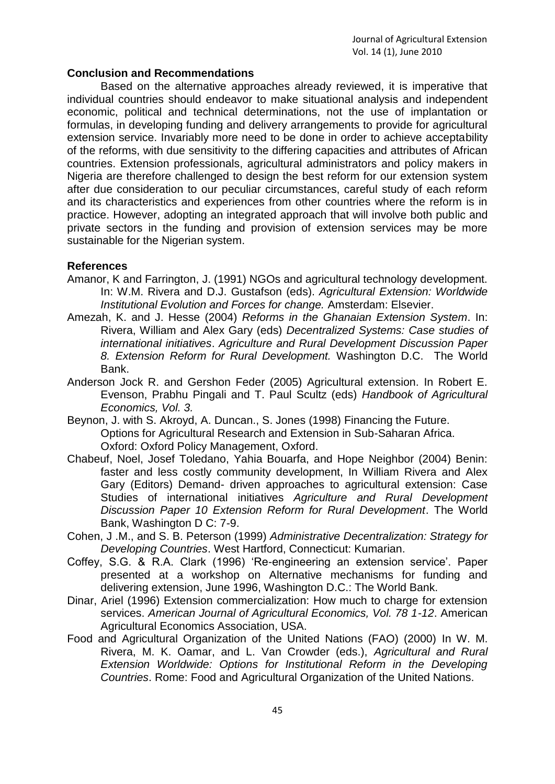#### **Conclusion and Recommendations**

Based on the alternative approaches already reviewed, it is imperative that individual countries should endeavor to make situational analysis and independent economic, political and technical determinations, not the use of implantation or formulas, in developing funding and delivery arrangements to provide for agricultural extension service. Invariably more need to be done in order to achieve acceptability of the reforms, with due sensitivity to the differing capacities and attributes of African countries. Extension professionals, agricultural administrators and policy makers in Nigeria are therefore challenged to design the best reform for our extension system after due consideration to our peculiar circumstances, careful study of each reform and its characteristics and experiences from other countries where the reform is in practice. However, adopting an integrated approach that will involve both public and private sectors in the funding and provision of extension services may be more sustainable for the Nigerian system.

#### **References**

- Amanor, K and Farrington, J. (1991) NGOs and agricultural technology development. In: W.M. Rivera and D.J. Gustafson (eds). *Agricultural Extension: Worldwide Institutional Evolution and Forces for change.* Amsterdam: Elsevier.
- Amezah, K. and J. Hesse (2004) *Reforms in the Ghanaian Extension System*. In: Rivera, William and Alex Gary (eds) *Decentralized Systems: Case studies of international initiatives*. *Agriculture and Rural Development Discussion Paper 8. Extension Reform for Rural Development.* Washington D.C. The World Bank.
- Anderson Jock R. and Gershon Feder (2005) Agricultural extension. In Robert E. Evenson, Prabhu Pingali and T. Paul Scultz (eds) *Handbook of Agricultural Economics, Vol. 3.*
- Beynon, J. with S. Akroyd, A. Duncan., S. Jones (1998) Financing the Future. Options for Agricultural Research and Extension in Sub-Saharan Africa. Oxford: Oxford Policy Management, Oxford.
- Chabeuf, Noel, Josef Toledano, Yahia Bouarfa, and Hope Neighbor (2004) Benin: faster and less costly community development, In William Rivera and Alex Gary (Editors) Demand- driven approaches to agricultural extension: Case Studies of international initiatives *Agriculture and Rural Development Discussion Paper 10 Extension Reform for Rural Development*. The World Bank, Washington D C: 7-9.
- Cohen, J .M., and S. B. Peterson (1999) *Administrative Decentralization: Strategy for Developing Countries*. West Hartford, Connecticut: Kumarian.
- Coffey, S.G. & R.A. Clark (1996) 'Re-engineering an extension service'. Paper presented at a workshop on Alternative mechanisms for funding and delivering extension, June 1996, Washington D.C.: The World Bank.
- Dinar, Ariel (1996) Extension commercialization: How much to charge for extension services. *American Journal of Agricultural Economics, Vol. 78 1-12*. American Agricultural Economics Association, USA.
- Food and Agricultural Organization of the United Nations (FAO) (2000) In W. M. Rivera, M. K. Oamar, and L. Van Crowder (eds.), *Agricultural and Rural Extension Worldwide: Options for Institutional Reform in the Developing Countries*. Rome: Food and Agricultural Organization of the United Nations.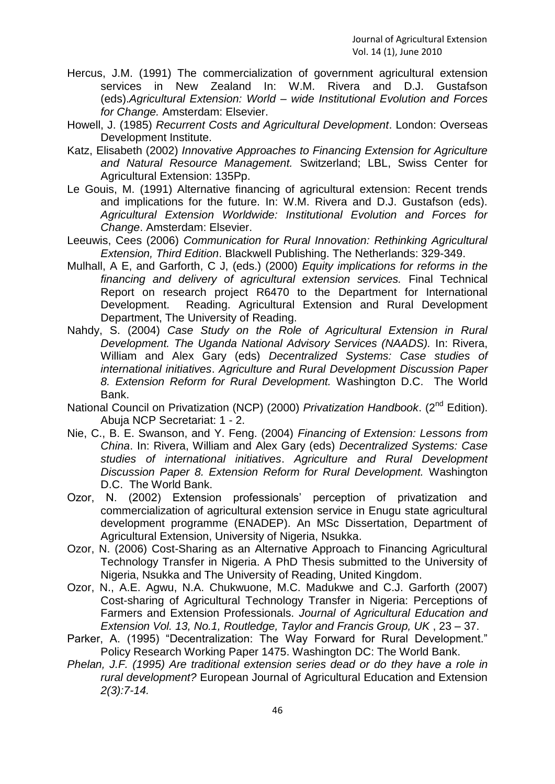- Hercus, J.M. (1991) The commercialization of government agricultural extension services in New Zealand In: W.M. Rivera and D.J. Gustafson (eds).*Agricultural Extension: World – wide Institutional Evolution and Forces for Change.* Amsterdam: Elsevier.
- Howell, J. (1985) *Recurrent Costs and Agricultural Development*. London: Overseas Development Institute.
- Katz, Elisabeth (2002) *Innovative Approaches to Financing Extension for Agriculture and Natural Resource Management.* Switzerland; LBL, Swiss Center for Agricultural Extension: 135Pp.
- Le Gouis, M. (1991) Alternative financing of agricultural extension: Recent trends and implications for the future. In: W.M. Rivera and D.J. Gustafson (eds). *Agricultural Extension Worldwide: Institutional Evolution and Forces for Change*. Amsterdam: Elsevier.
- Leeuwis, Cees (2006) *Communication for Rural Innovation: Rethinking Agricultural Extension, Third Edition*. Blackwell Publishing. The Netherlands: 329-349.
- Mulhall, A E, and Garforth, C J, (eds.) (2000) *Equity implications for reforms in the financing and delivery of agricultural extension services.* Final Technical Report on research project R6470 to the Department for International Development. Reading. Agricultural Extension and Rural Development Department, The University of Reading.
- Nahdy, S. (2004) *Case Study on the Role of Agricultural Extension in Rural Development. The Uganda National Advisory Services (NAADS).* In: Rivera, William and Alex Gary (eds) *Decentralized Systems: Case studies of international initiatives*. *Agriculture and Rural Development Discussion Paper 8. Extension Reform for Rural Development.* Washington D.C. The World Bank.
- National Council on Privatization (NCP) (2000) *Privatization Handbook*. (2nd Edition). Abuja NCP Secretariat: 1 - 2.
- Nie, C., B. E. Swanson, and Y. Feng. (2004) *Financing of Extension: Lessons from China*. In: Rivera, William and Alex Gary (eds) *Decentralized Systems: Case studies of international initiatives*. *Agriculture and Rural Development Discussion Paper 8. Extension Reform for Rural Development.* Washington D.C. The World Bank.
- Ozor, N. (2002) Extension professionals' perception of privatization and commercialization of agricultural extension service in Enugu state agricultural development programme (ENADEP). An MSc Dissertation, Department of Agricultural Extension, University of Nigeria, Nsukka.
- Ozor, N. (2006) Cost-Sharing as an Alternative Approach to Financing Agricultural Technology Transfer in Nigeria. A PhD Thesis submitted to the University of Nigeria, Nsukka and The University of Reading, United Kingdom.
- Ozor, N., A.E. Agwu, N.A. Chukwuone, M.C. Madukwe and C.J. Garforth (2007) Cost-sharing of Agricultural Technology Transfer in Nigeria: Perceptions of Farmers and Extension Professionals. *Journal of Agricultural Education and Extension Vol. 13, No.1, Routledge, Taylor and Francis Group, UK, 23 – 37.*
- Parker, A. (1995) "Decentralization: The Way Forward for Rural Development." Policy Research Working Paper 1475. Washington DC: The World Bank.
- *Phelan, J.F. (1995) Are traditional extension series dead or do they have a role in rural development?* European Journal of Agricultural Education and Extension *2(3):7-14.*